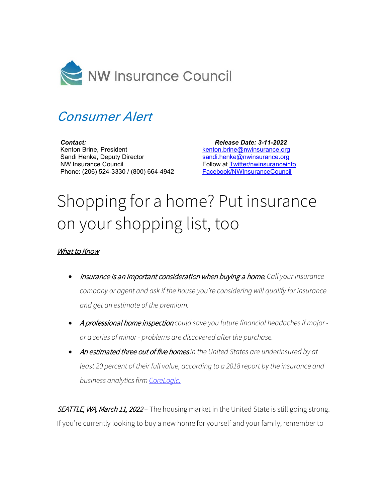

## Consumer Alert

*Contact:* Kenton Brine, President Sandi Henke, Deputy Director NW Insurance Council Phone: (206) 524-3330 / (800) 664-4942

 *Release Date: 3-11-2022* [kenton.brine@nwinsurance.org](mailto:kenton.brine@nwinsurance.org) [sandi.henke@nwinsurance.org](mailto:sandi.henke@nwinsurance.org) Follow at [Twitter/nwinsuranceinfo](http://twitter.com/#!/nwinsuranceinfo) [Facebook/NWInsuranceCouncil](https://www.facebook.com/NWInsuranceCouncil)

## Shopping for a home? Put insurance on your shopping list, too

## What to Know

- Insurance is an important consideration when buying a home. *Call your insurance company or agent and ask if the house you're considering will qualify for insurance and get an estimate of the premium.*
- A professional home inspection *could save you future financial headaches if major or a series of minor - problems are discovered after the purchase.*
- An estimated three out of five homes *in the United States are underinsured by at least 20 percent of their full value, according to a 2018 report by the insurance and business analytics fir[m CoreLogic.](https://www.corelogic.com/)*

SEATTLE, WA, March 11, 2022 – The housing market in the United State is still going strong. If you're currently looking to buy a new home for yourself and your family, remember to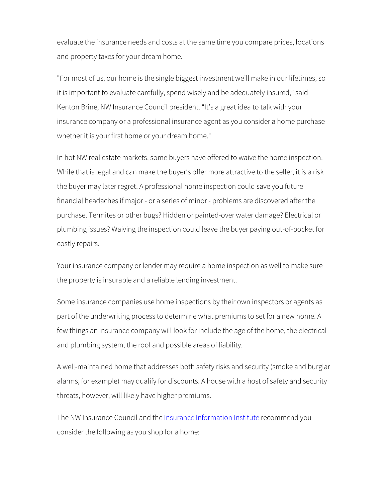evaluate the insurance needs and costs at the same time you compare prices, locations and property taxes for your dream home.

"For most of us, our home is the single biggest investment we'll make in our lifetimes, so it is important to evaluate carefully, spend wisely and be adequately insured," said Kenton Brine, NW Insurance Council president. "It's a great idea to talk with your insurance company or a professional insurance agent as you consider a home purchase – whether it is your first home or your dream home."

In hot NW real estate markets, some buyers have offered to waive the home inspection. While that is legal and can make the buyer's offer more attractive to the seller, it is a risk the buyer may later regret. A professional home inspection could save you future financial headaches if major - or a series of minor - problems are discovered after the purchase. Termites or other bugs? Hidden or painted-over water damage? Electrical or plumbing issues? Waiving the inspection could leave the buyer paying out-of-pocket for costly repairs.

Your insurance company or lender may require a home inspection as well to make sure the property is insurable and a reliable lending investment.

Some insurance companies use home inspections by their own inspectors or agents as part of the underwriting process to determine what premiums to set for a new home. A few things an insurance company will look for include the age of the home, the electrical and plumbing system, the roof and possible areas of liability.

A well-maintained home that addresses both safety risks and security (smoke and burglar alarms, for example) may qualify for discounts. A house with a host of safety and security threats, however, will likely have higher premiums.

The NW Insurance Council and the **Insurance Information Institute** recommend you consider the following as you shop for a home: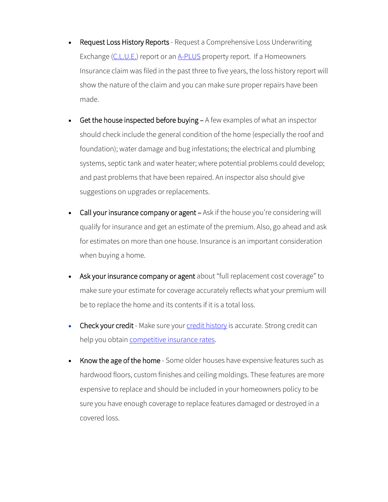- Request Loss History Reports Request a Comprehensive Loss Underwriting Exchange [\(C.L.U.E.\)](https://personalreports.lexisnexis.com/fact_act_disclosure.jsp) report or an [A-PLUS](https://www.verisk.com/insurance/products/a-plus-personal-lines-loss-history-solutions/) property report. If a Homeowners Insurance claim was filed in the past three to five years, the loss history report will show the nature of the claim and you can make sure proper repairs have been made.
- Get the house inspected before buying A few examples of what an inspector should check include the general condition of the home (especially the roof and foundation); water damage and bug infestations; the electrical and plumbing systems, septic tank and water heater; where potential problems could develop; and past problems that have been repaired. An inspector also should give suggestions on upgrades or replacements.
- Call your insurance company or agent Ask if the house you're considering will qualify for insurance and get an estimate of the premium. Also, go ahead and ask for estimates on more than one house. Insurance is an important consideration when buying a home.
- Ask your insurance company or agent about "full replacement cost coverage" to make sure your estimate for coverage accurately reflects what your premium will be to replace the home and its contents if it is a total loss.
- Check your credit Make sure you[r credit history](https://www.nwinsurance.org/asset/5ef10055bb06e) is accurate. Strong credit can help you obtai[n competitive insurance rates.](https://www.iii.org/article/background-on-credit-scoring)
- Know the age of the home Some older houses have expensive features such as hardwood floors, custom finishes and ceiling moldings. These features are more expensive to replace and should be included in your homeowners policy to be sure you have enough coverage to replace features damaged or destroyed in a covered loss.